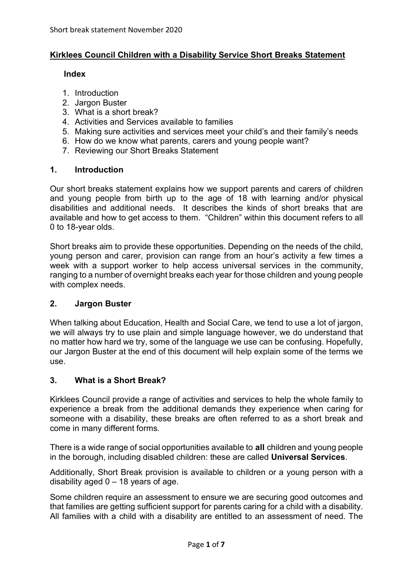## **Kirklees Council Children with a Disability Service Short Breaks Statement**

#### **Index**

- 1. Introduction
- 2. Jargon Buster
- 3. What is a short break?
- 4. Activities and Services available to families
- 5. Making sure activities and services meet your child's and their family's needs
- 6. How do we know what parents, carers and young people want?
- 7. Reviewing our Short Breaks Statement

## **1. Introduction**

Our short breaks statement explains how we support parents and carers of children and young people from birth up to the age of 18 with learning and/or physical disabilities and additional needs. It describes the kinds of short breaks that are available and how to get access to them. "Children" within this document refers to all 0 to 18-year olds.

Short breaks aim to provide these opportunities. Depending on the needs of the child, young person and carer, provision can range from an hour's activity a few times a week with a support worker to help access universal services in the community, ranging to a number of overnight breaks each year for those children and young people with complex needs.

# **2. Jargon Buster**

When talking about Education, Health and Social Care, we tend to use a lot of jargon, we will always try to use plain and simple language however, we do understand that no matter how hard we try, some of the language we use can be confusing. Hopefully, our Jargon Buster at the end of this document will help explain some of the terms we use.

# **3. What is a Short Break?**

Kirklees Council provide a range of activities and services to help the whole family to experience a break from the additional demands they experience when caring for someone with a disability, these breaks are often referred to as a short break and come in many different forms.

There is a wide range of social opportunities available to **all** children and young people in the borough, including disabled children: these are called **Universal Services**.

Additionally, Short Break provision is available to children or a young person with a disability aged  $0 - 18$  years of age.

Some children require an assessment to ensure we are securing good outcomes and that families are getting sufficient support for parents caring for a child with a disability. All families with a child with a disability are entitled to an assessment of need. The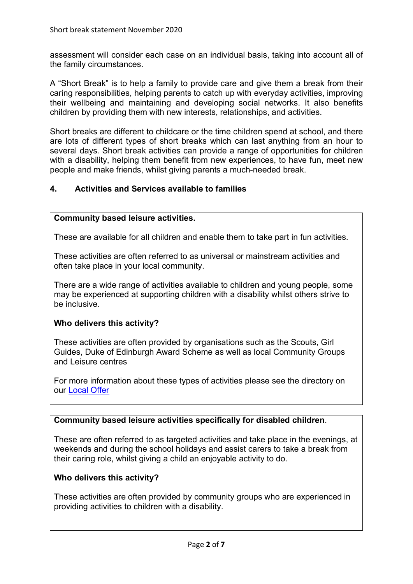assessment will consider each case on an individual basis, taking into account all of the family circumstances.

A "Short Break" is to help a family to provide care and give them a break from their caring responsibilities, helping parents to catch up with everyday activities, improving their wellbeing and maintaining and developing social networks. It also benefits children by providing them with new interests, relationships, and activities.

Short breaks are different to childcare or the time children spend at school, and there are lots of different types of short breaks which can last anything from an hour to several days. Short break activities can provide a range of opportunities for children with a disability, helping them benefit from new experiences, to have fun, meet new people and make friends, whilst giving parents a much-needed break.

## **4. Activities and Services available to families**

#### **Community based leisure activities.**

These are available for all children and enable them to take part in fun activities.

These activities are often referred to as universal or mainstream activities and often take place in your local community.

There are a wide range of activities available to children and young people, some may be experienced at supporting children with a disability whilst others strive to be inclusive.

#### **Who delivers this activity?**

These activities are often provided by organisations such as the Scouts, Girl Guides, Duke of Edinburgh Award Scheme as well as local Community Groups and Leisure centres

For more information about these types of activities please see the directory on our [Local Offer](https://www.kirkleeslocaloffer.org.uk/) 

#### **Community based leisure activities specifically for disabled children**.

These are often referred to as targeted activities and take place in the evenings, at weekends and during the school holidays and assist carers to take a break from their caring role, whilst giving a child an enjoyable activity to do.

#### **Who delivers this activity?**

These activities are often provided by community groups who are experienced in providing activities to children with a disability.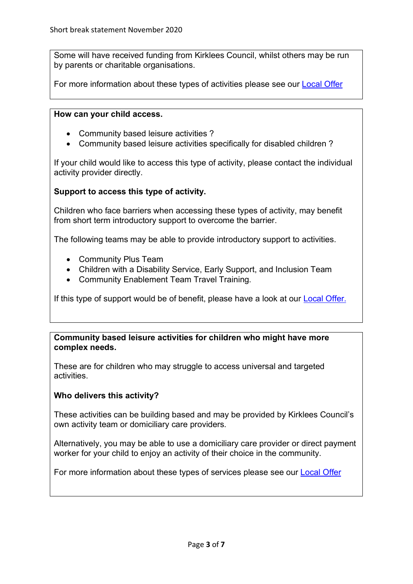Some will have received funding from Kirklees Council, whilst others may be run by parents or charitable organisations.

For more information about these types of activities please see our [Local Offer](https://www.kirkleeslocaloffer.org.uk/)

#### **How can your child access.**

- Community based leisure activities ?
- Community based leisure activities specifically for disabled children ?

If your child would like to access this type of activity, please contact the individual activity provider directly.

## **Support to access this type of activity.**

Children who face barriers when accessing these types of activity, may benefit from short term introductory support to overcome the barrier.

The following teams may be able to provide introductory support to activities.

- Community Plus Team
- Children with a Disability Service, Early Support, and Inclusion Team
- Community Enablement Team Travel Training.

If this type of support would be of benefit, please have a look at our **Local Offer.** 

#### **Community based leisure activities for children who might have more complex needs.**

These are for children who may struggle to access universal and targeted activities.

#### **Who delivers this activity?**

These activities can be building based and may be provided by Kirklees Council's own activity team or domiciliary care providers.

Alternatively, you may be able to use a domiciliary care provider or direct payment worker for your child to enjoy an activity of their choice in the community.

For more information about these types of services please see our [Local Offer](https://www.kirkleeslocaloffer.org.uk/)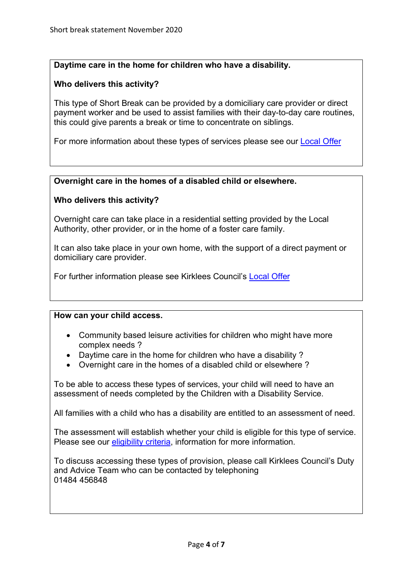## **Daytime care in the home for children who have a disability.**

## **Who delivers this activity?**

This type of Short Break can be provided by a domiciliary care provider or direct payment worker and be used to assist families with their day-to-day care routines, this could give parents a break or time to concentrate on siblings.

For more information about these types of services please see our [Local Offer](https://www.kirkleeslocaloffer.org.uk/)

## **Overnight care in the homes of a disabled child or elsewhere.**

## **Who delivers this activity?**

Overnight care can take place in a residential setting provided by the Local Authority, other provider, or in the home of a foster care family.

It can also take place in your own home, with the support of a direct payment or domiciliary care provider.

For further information please see Kirklees Council's [Local Offer](https://www.kirkleeslocaloffer.org.uk/)

#### **How can your child access.**

- Community based leisure activities for children who might have more complex needs ?
- Daytime care in the home for children who have a disability ?
- Overnight care in the homes of a disabled child or elsewhere ?

To be able to access these types of services, your child will need to have an assessment of needs completed by the Children with a Disability Service.

All families with a child who has a disability are entitled to an assessment of need.

The assessment will establish whether your child is eligible for this type of service. Please see our [eligibility criteria,](https://www.kirklees.gov.uk/beta/special-education/children-with-a-disability.aspx) information for more information.

To discuss accessing these types of provision, please call Kirklees Council's Duty and Advice Team who can be contacted by telephoning 01484 456848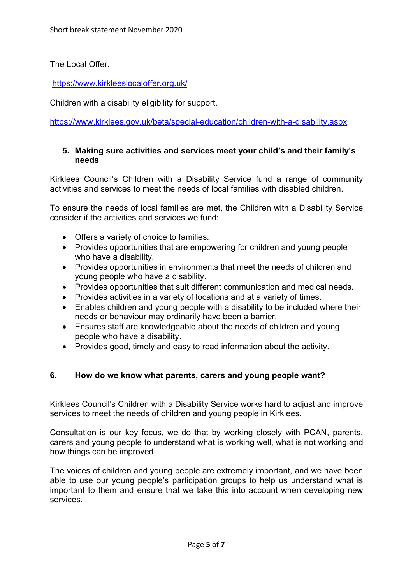The Local Offer.

<https://www.kirkleeslocaloffer.org.uk/>

Children with a disability eligibility for support.

<https://www.kirklees.gov.uk/beta/special-education/children-with-a-disability.aspx>

### **5. Making sure activities and services meet your child's and their family's needs**

Kirklees Council's Children with a Disability Service fund a range of community activities and services to meet the needs of local families with disabled children.

To ensure the needs of local families are met, the Children with a Disability Service consider if the activities and services we fund:

- Offers a variety of choice to families.
- Provides opportunities that are empowering for children and young people who have a disability.
- Provides opportunities in environments that meet the needs of children and young people who have a disability.
- Provides opportunities that suit different communication and medical needs.
- Provides activities in a variety of locations and at a variety of times.
- Enables children and young people with a disability to be included where their needs or behaviour may ordinarily have been a barrier.
- Ensures staff are knowledgeable about the needs of children and young people who have a disability.
- Provides good, timely and easy to read information about the activity.

#### **6. How do we know what parents, carers and young people want?**

Kirklees Council's Children with a Disability Service works hard to adjust and improve services to meet the needs of children and young people in Kirklees.

Consultation is our key focus, we do that by working closely with PCAN, parents, carers and young people to understand what is working well, what is not working and how things can be improved.

The voices of children and young people are extremely important, and we have been able to use our young people's participation groups to help us understand what is important to them and ensure that we take this into account when developing new services.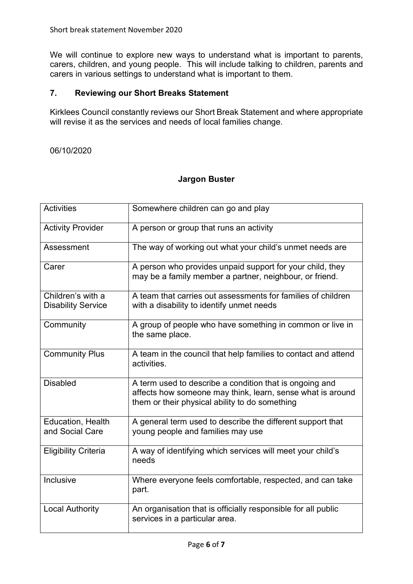We will continue to explore new ways to understand what is important to parents, carers, children, and young people. This will include talking to children, parents and carers in various settings to understand what is important to them.

## **7. Reviewing our Short Breaks Statement**

Kirklees Council constantly reviews our Short Break Statement and where appropriate will revise it as the services and needs of local families change.

#### 06/10/2020

### **Jargon Buster**

| <b>Activities</b>                              | Somewhere children can go and play                                                                                                                                      |
|------------------------------------------------|-------------------------------------------------------------------------------------------------------------------------------------------------------------------------|
| <b>Activity Provider</b>                       | A person or group that runs an activity                                                                                                                                 |
| Assessment                                     | The way of working out what your child's unmet needs are                                                                                                                |
| Carer                                          | A person who provides unpaid support for your child, they<br>may be a family member a partner, neighbour, or friend.                                                    |
| Children's with a<br><b>Disability Service</b> | A team that carries out assessments for families of children<br>with a disability to identify unmet needs                                                               |
| Community                                      | A group of people who have something in common or live in<br>the same place.                                                                                            |
| <b>Community Plus</b>                          | A team in the council that help families to contact and attend<br>activities.                                                                                           |
| <b>Disabled</b>                                | A term used to describe a condition that is ongoing and<br>affects how someone may think, learn, sense what is around<br>them or their physical ability to do something |
| Education, Health<br>and Social Care           | A general term used to describe the different support that<br>young people and families may use                                                                         |
| <b>Eligibility Criteria</b>                    | A way of identifying which services will meet your child's<br>needs                                                                                                     |
| Inclusive                                      | Where everyone feels comfortable, respected, and can take<br>part.                                                                                                      |
| <b>Local Authority</b>                         | An organisation that is officially responsible for all public<br>services in a particular area.                                                                         |